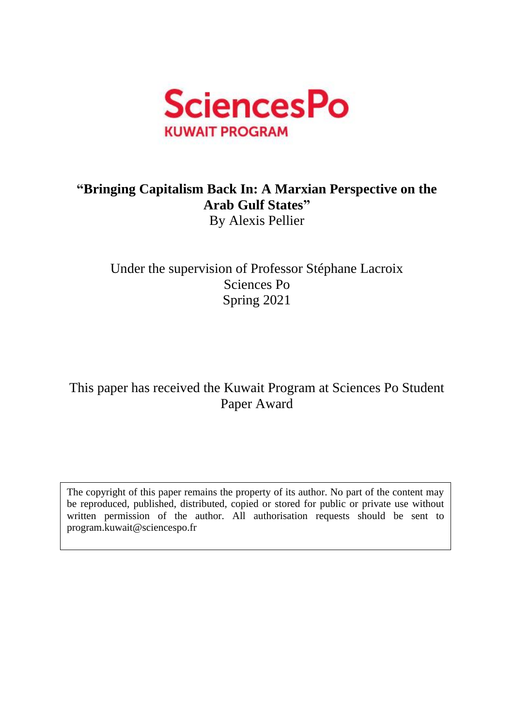

# **"Bringing Capitalism Back In: A Marxian Perspective on the Arab Gulf States"**  By Alexis Pellier

# Under the supervision of Professor Stéphane Lacroix Sciences Po Spring 2021

# This paper has received the Kuwait Program at Sciences Po Student Paper Award

The copyright of this paper remains the property of its author. No part of the content may be reproduced, published, distributed, copied or stored for public or private use without written permission of the author. All authorisation requests should be sent to program.kuwait@sciencespo.fr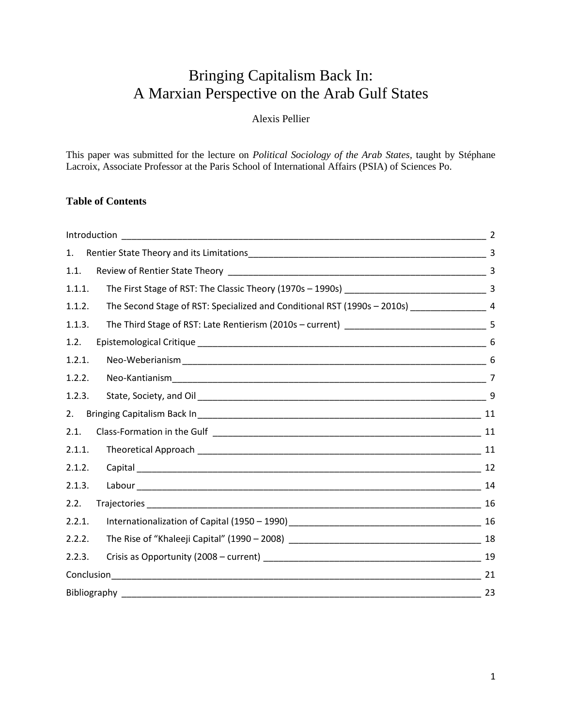# Bringing Capitalism Back In: A Marxian Perspective on the Arab Gulf States

# Alexis Pellier

This paper was submitted for the lecture on *Political Sociology of the Arab States,* taught by Stéphane Lacroix, Associate Professor at the Paris School of International Affairs (PSIA) of Sciences Po.

# **Table of Contents**

| Introduction<br><u> 1989 - Johann Harry Harry Harry Harry Harry Harry Harry Harry Harry Harry Harry Harry Harry Harry Harry Harry</u> | 2  |
|---------------------------------------------------------------------------------------------------------------------------------------|----|
| 1.                                                                                                                                    |    |
| 1.1.                                                                                                                                  |    |
| 1.1.1.                                                                                                                                |    |
| The Second Stage of RST: Specialized and Conditional RST (1990s - 2010s) ____________________ 4<br>1.1.2.                             |    |
| 1.1.3.                                                                                                                                |    |
| 1.2.                                                                                                                                  |    |
| 1.2.1.                                                                                                                                |    |
| 1.2.2.                                                                                                                                |    |
| 1.2.3.                                                                                                                                |    |
| 2.                                                                                                                                    |    |
| 2.1.                                                                                                                                  |    |
| 2.1.1.                                                                                                                                |    |
| 2.1.2.                                                                                                                                | 12 |
| 2.1.3.                                                                                                                                | 14 |
| 2.2.                                                                                                                                  |    |
| 2.2.1.                                                                                                                                |    |
| 2.2.2.                                                                                                                                |    |
| 2.2.3.                                                                                                                                | 19 |
| Conclusion                                                                                                                            | 21 |
|                                                                                                                                       | 23 |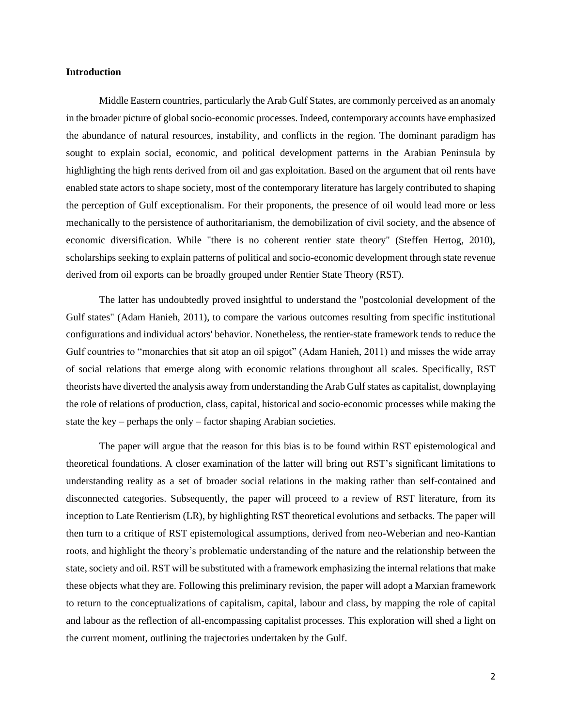### <span id="page-2-0"></span>**Introduction**

Middle Eastern countries, particularly the Arab Gulf States, are commonly perceived as an anomaly in the broader picture of global socio-economic processes. Indeed, contemporary accounts have emphasized the abundance of natural resources, instability, and conflicts in the region. The dominant paradigm has sought to explain social, economic, and political development patterns in the Arabian Peninsula by highlighting the high rents derived from oil and gas exploitation. Based on the argument that oil rents have enabled state actors to shape society, most of the contemporary literature has largely contributed to shaping the perception of Gulf exceptionalism. For their proponents, the presence of oil would lead more or less mechanically to the persistence of authoritarianism, the demobilization of civil society, and the absence of economic diversification. While "there is no coherent rentier state theory" (Steffen Hertog, 2010), scholarships seeking to explain patterns of political and socio-economic development through state revenue derived from oil exports can be broadly grouped under Rentier State Theory (RST).

The latter has undoubtedly proved insightful to understand the "postcolonial development of the Gulf states" (Adam Hanieh, 2011), to compare the various outcomes resulting from specific institutional configurations and individual actors' behavior. Nonetheless, the rentier-state framework tends to reduce the Gulf countries to "monarchies that sit atop an oil spigot" (Adam Hanieh, 2011) and misses the wide array of social relations that emerge along with economic relations throughout all scales. Specifically, RST theorists have diverted the analysis away from understanding the Arab Gulf states as capitalist, downplaying the role of relations of production, class, capital, historical and socio-economic processes while making the state the key – perhaps the only – factor shaping Arabian societies.

The paper will argue that the reason for this bias is to be found within RST epistemological and theoretical foundations. A closer examination of the latter will bring out RST's significant limitations to understanding reality as a set of broader social relations in the making rather than self-contained and disconnected categories. Subsequently, the paper will proceed to a review of RST literature, from its inception to Late Rentierism (LR), by highlighting RST theoretical evolutions and setbacks. The paper will then turn to a critique of RST epistemological assumptions, derived from neo-Weberian and neo-Kantian roots, and highlight the theory's problematic understanding of the nature and the relationship between the state, society and oil. RST will be substituted with a framework emphasizing the internal relations that make these objects what they are. Following this preliminary revision, the paper will adopt a Marxian framework to return to the conceptualizations of capitalism, capital, labour and class, by mapping the role of capital and labour as the reflection of all-encompassing capitalist processes. This exploration will shed a light on the current moment, outlining the trajectories undertaken by the Gulf.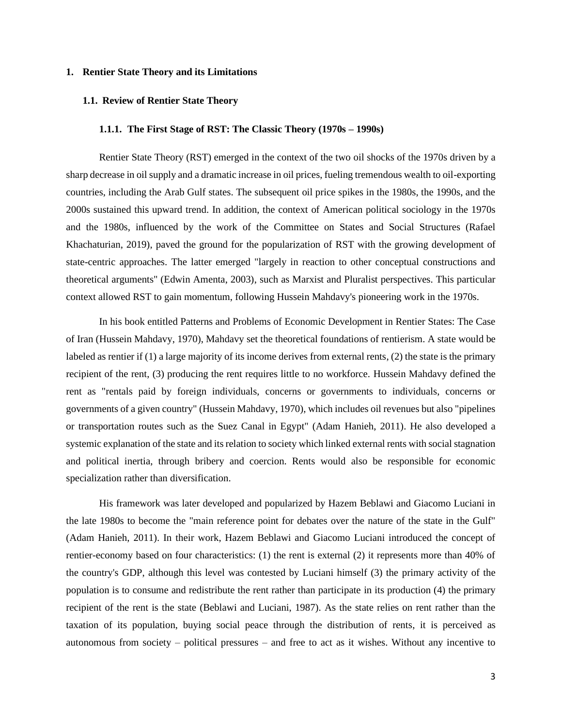#### <span id="page-3-1"></span><span id="page-3-0"></span>**1. Rentier State Theory and its Limitations**

## **1.1. Review of Rentier State Theory**

#### <span id="page-3-2"></span>**1.1.1. The First Stage of RST: The Classic Theory (1970s – 1990s)**

Rentier State Theory (RST) emerged in the context of the two oil shocks of the 1970s driven by a sharp decrease in oil supply and a dramatic increase in oil prices, fueling tremendous wealth to oil-exporting countries, including the Arab Gulf states. The subsequent oil price spikes in the 1980s, the 1990s, and the 2000s sustained this upward trend. In addition, the context of American political sociology in the 1970s and the 1980s, influenced by the work of the Committee on States and Social Structures (Rafael Khachaturian, 2019), paved the ground for the popularization of RST with the growing development of state-centric approaches. The latter emerged "largely in reaction to other conceptual constructions and theoretical arguments" (Edwin Amenta, 2003), such as Marxist and Pluralist perspectives. This particular context allowed RST to gain momentum, following Hussein Mahdavy's pioneering work in the 1970s.

In his book entitled Patterns and Problems of Economic Development in Rentier States: The Case of Iran (Hussein Mahdavy, 1970), Mahdavy set the theoretical foundations of rentierism. A state would be labeled as rentier if (1) a large majority of its income derives from external rents, (2) the state is the primary recipient of the rent, (3) producing the rent requires little to no workforce. Hussein Mahdavy defined the rent as "rentals paid by foreign individuals, concerns or governments to individuals, concerns or governments of a given country" (Hussein Mahdavy, 1970), which includes oil revenues but also "pipelines or transportation routes such as the Suez Canal in Egypt" (Adam Hanieh, 2011). He also developed a systemic explanation of the state and its relation to society which linked external rents with social stagnation and political inertia, through bribery and coercion. Rents would also be responsible for economic specialization rather than diversification.

His framework was later developed and popularized by Hazem Beblawi and Giacomo Luciani in the late 1980s to become the "main reference point for debates over the nature of the state in the Gulf" (Adam Hanieh, 2011). In their work, Hazem Beblawi and Giacomo Luciani introduced the concept of rentier-economy based on four characteristics: (1) the rent is external (2) it represents more than 40% of the country's GDP, although this level was contested by Luciani himself (3) the primary activity of the population is to consume and redistribute the rent rather than participate in its production (4) the primary recipient of the rent is the state (Beblawi and Luciani, 1987). As the state relies on rent rather than the taxation of its population, buying social peace through the distribution of rents, it is perceived as autonomous from society – political pressures – and free to act as it wishes. Without any incentive to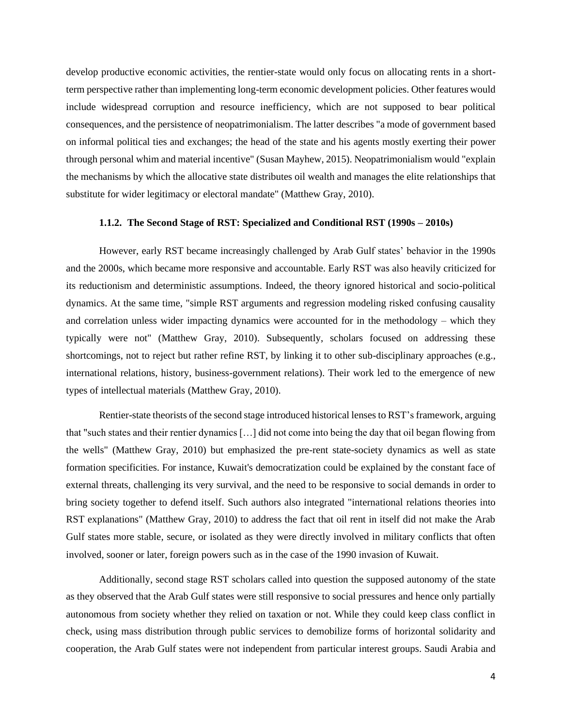develop productive economic activities, the rentier-state would only focus on allocating rents in a shortterm perspective rather than implementing long-term economic development policies. Other features would include widespread corruption and resource inefficiency, which are not supposed to bear political consequences, and the persistence of neopatrimonialism. The latter describes "a mode of government based on informal political ties and exchanges; the head of the state and his agents mostly exerting their power through personal whim and material incentive" (Susan Mayhew, 2015). Neopatrimonialism would "explain the mechanisms by which the allocative state distributes oil wealth and manages the elite relationships that substitute for wider legitimacy or electoral mandate" (Matthew Gray, 2010).

# <span id="page-4-0"></span>**1.1.2. The Second Stage of RST: Specialized and Conditional RST (1990s – 2010s)**

However, early RST became increasingly challenged by Arab Gulf states' behavior in the 1990s and the 2000s, which became more responsive and accountable. Early RST was also heavily criticized for its reductionism and deterministic assumptions. Indeed, the theory ignored historical and socio-political dynamics. At the same time, "simple RST arguments and regression modeling risked confusing causality and correlation unless wider impacting dynamics were accounted for in the methodology – which they typically were not" (Matthew Gray, 2010). Subsequently, scholars focused on addressing these shortcomings, not to reject but rather refine RST, by linking it to other sub-disciplinary approaches (e.g., international relations, history, business-government relations). Their work led to the emergence of new types of intellectual materials (Matthew Gray, 2010).

Rentier-state theorists of the second stage introduced historical lenses to RST's framework, arguing that "such states and their rentier dynamics […] did not come into being the day that oil began flowing from the wells" (Matthew Gray, 2010) but emphasized the pre-rent state-society dynamics as well as state formation specificities. For instance, Kuwait's democratization could be explained by the constant face of external threats, challenging its very survival, and the need to be responsive to social demands in order to bring society together to defend itself. Such authors also integrated "international relations theories into RST explanations" (Matthew Gray, 2010) to address the fact that oil rent in itself did not make the Arab Gulf states more stable, secure, or isolated as they were directly involved in military conflicts that often involved, sooner or later, foreign powers such as in the case of the 1990 invasion of Kuwait.

Additionally, second stage RST scholars called into question the supposed autonomy of the state as they observed that the Arab Gulf states were still responsive to social pressures and hence only partially autonomous from society whether they relied on taxation or not. While they could keep class conflict in check, using mass distribution through public services to demobilize forms of horizontal solidarity and cooperation, the Arab Gulf states were not independent from particular interest groups. Saudi Arabia and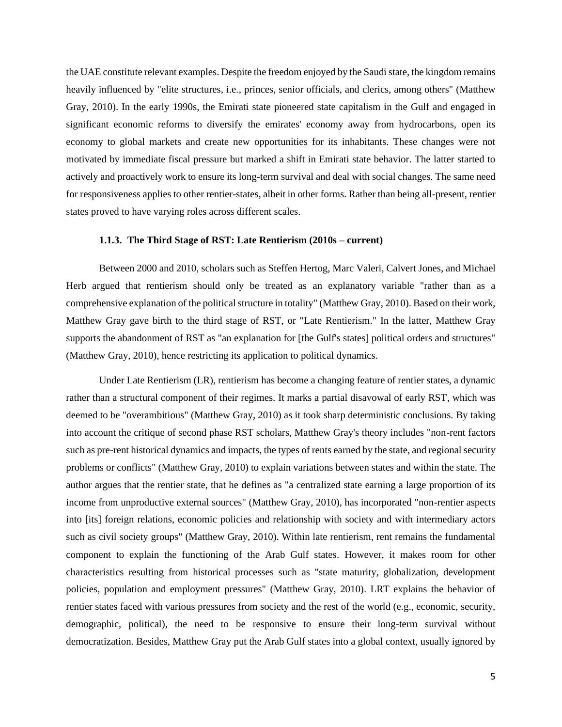the UAE constitute relevant examples. Despite the freedom enjoyed by the Saudi state, the kingdom remains heavily influenced by "elite structures, i.e., princes, senior officials, and clerics, among others" (Matthew Gray, 2010). In the early 1990s, the Emirati state pioneered state capitalism in the Gulf and engaged in significant economic reforms to diversify the emirates' economy away from hydrocarbons, open its economy to global markets and create new opportunities for its inhabitants. These changes were not motivated by immediate fiscal pressure but marked a shift in Emirati state behavior. The latter started to actively and proactively work to ensure its long-term survival and deal with social changes. The same need for responsiveness applies to other rentier-states, albeit in other forms. Rather than being all-present, rentier states proved to have varying roles across different scales.

### <span id="page-5-0"></span>**1.1.3. The Third Stage of RST: Late Rentierism (2010s – current)**

Between 2000 and 2010, scholars such as Steffen Hertog, Marc Valeri, Calvert Jones, and Michael Herb argued that rentierism should only be treated as an explanatory variable "rather than as a comprehensive explanation of the political structure in totality" (Matthew Gray, 2010). Based on their work, Matthew Gray gave birth to the third stage of RST, or "Late Rentierism." In the latter, Matthew Gray supports the abandonment of RST as "an explanation for [the Gulf's states] political orders and structures" (Matthew Gray, 2010), hence restricting its application to political dynamics.

Under Late Rentierism (LR), rentierism has become a changing feature of rentier states, a dynamic rather than a structural component of their regimes. It marks a partial disavowal of early RST, which was deemed to be "overambitious" (Matthew Gray, 2010) as it took sharp deterministic conclusions. By taking into account the critique of second phase RST scholars, Matthew Gray's theory includes "non-rent factors such as pre-rent historical dynamics and impacts, the types of rents earned by the state, and regional security problems or conflicts" (Matthew Gray, 2010) to explain variations between states and within the state. The author argues that the rentier state, that he defines as "a centralized state earning a large proportion of its income from unproductive external sources" (Matthew Gray, 2010), has incorporated "non-rentier aspects into [its] foreign relations, economic policies and relationship with society and with intermediary actors such as civil society groups" (Matthew Gray, 2010). Within late rentierism, rent remains the fundamental component to explain the functioning of the Arab Gulf states. However, it makes room for other characteristics resulting from historical processes such as "state maturity, globalization, development policies, population and employment pressures" (Matthew Gray, 2010). LRT explains the behavior of rentier states faced with various pressures from society and the rest of the world (e.g., economic, security, demographic, political), the need to be responsive to ensure their long-term survival without democratization. Besides, Matthew Gray put the Arab Gulf states into a global context, usually ignored by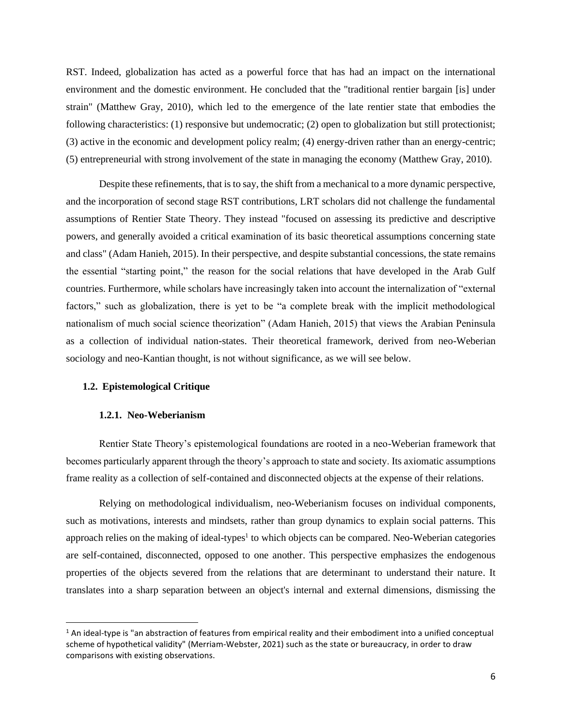RST. Indeed, globalization has acted as a powerful force that has had an impact on the international environment and the domestic environment. He concluded that the "traditional rentier bargain [is] under strain" (Matthew Gray, 2010), which led to the emergence of the late rentier state that embodies the following characteristics: (1) responsive but undemocratic; (2) open to globalization but still protectionist; (3) active in the economic and development policy realm; (4) energy-driven rather than an energy-centric; (5) entrepreneurial with strong involvement of the state in managing the economy (Matthew Gray, 2010).

Despite these refinements, that is to say, the shift from a mechanical to a more dynamic perspective, and the incorporation of second stage RST contributions, LRT scholars did not challenge the fundamental assumptions of Rentier State Theory. They instead "focused on assessing its predictive and descriptive powers, and generally avoided a critical examination of its basic theoretical assumptions concerning state and class" (Adam Hanieh, 2015). In their perspective, and despite substantial concessions, the state remains the essential "starting point," the reason for the social relations that have developed in the Arab Gulf countries. Furthermore, while scholars have increasingly taken into account the internalization of "external factors," such as globalization, there is yet to be "a complete break with the implicit methodological nationalism of much social science theorization" (Adam Hanieh, 2015) that views the Arabian Peninsula as a collection of individual nation-states. Their theoretical framework, derived from neo-Weberian sociology and neo-Kantian thought, is not without significance, as we will see below.

### <span id="page-6-0"></span>**1.2. Epistemological Critique**

## <span id="page-6-1"></span>**1.2.1. Neo-Weberianism**

Rentier State Theory's epistemological foundations are rooted in a neo-Weberian framework that becomes particularly apparent through the theory's approach to state and society. Its axiomatic assumptions frame reality as a collection of self-contained and disconnected objects at the expense of their relations.

Relying on methodological individualism, neo-Weberianism focuses on individual components, such as motivations, interests and mindsets, rather than group dynamics to explain social patterns. This approach relies on the making of ideal-types<sup>1</sup> to which objects can be compared. Neo-Weberian categories are self-contained, disconnected, opposed to one another. This perspective emphasizes the endogenous properties of the objects severed from the relations that are determinant to understand their nature. It translates into a sharp separation between an object's internal and external dimensions, dismissing the

 $1$  An ideal-type is "an abstraction of features from empirical reality and their embodiment into a unified conceptual scheme of hypothetical validity" (Merriam-Webster, 2021) such as the state or bureaucracy, in order to draw comparisons with existing observations.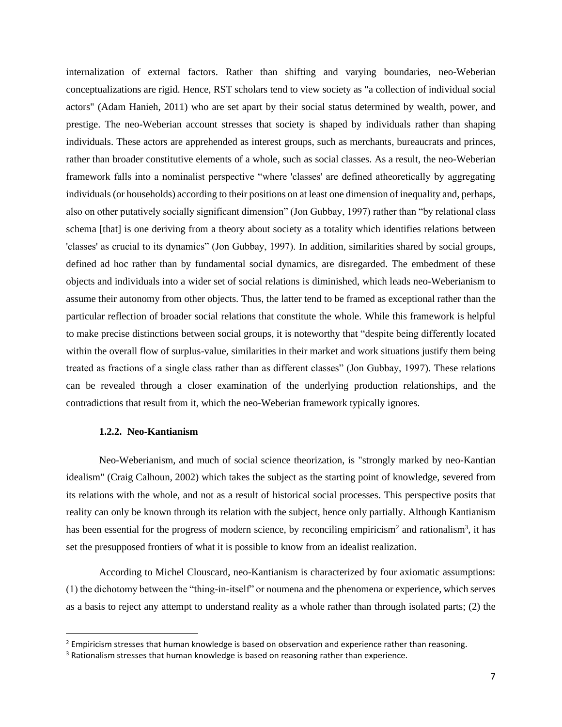internalization of external factors. Rather than shifting and varying boundaries, neo-Weberian conceptualizations are rigid. Hence, RST scholars tend to view society as "a collection of individual social actors" (Adam Hanieh, 2011) who are set apart by their social status determined by wealth, power, and prestige. The neo-Weberian account stresses that society is shaped by individuals rather than shaping individuals. These actors are apprehended as interest groups, such as merchants, bureaucrats and princes, rather than broader constitutive elements of a whole, such as social classes. As a result, the neo-Weberian framework falls into a nominalist perspective "where 'classes' are defined atheoretically by aggregating individuals (or households) according to their positions on at least one dimension of inequality and, perhaps, also on other putatively socially significant dimension" (Jon Gubbay, 1997) rather than "by relational class schema [that] is one deriving from a theory about society as a totality which identifies relations between 'classes' as crucial to its dynamics" (Jon Gubbay, 1997). In addition, similarities shared by social groups, defined ad hoc rather than by fundamental social dynamics, are disregarded. The embedment of these objects and individuals into a wider set of social relations is diminished, which leads neo-Weberianism to assume their autonomy from other objects. Thus, the latter tend to be framed as exceptional rather than the particular reflection of broader social relations that constitute the whole. While this framework is helpful to make precise distinctions between social groups, it is noteworthy that "despite being differently located within the overall flow of surplus-value, similarities in their market and work situations justify them being treated as fractions of a single class rather than as different classes" (Jon Gubbay, 1997). These relations can be revealed through a closer examination of the underlying production relationships, and the contradictions that result from it, which the neo-Weberian framework typically ignores.

### <span id="page-7-0"></span>**1.2.2. Neo-Kantianism**

Neo-Weberianism, and much of social science theorization, is "strongly marked by neo-Kantian idealism" (Craig Calhoun, 2002) which takes the subject as the starting point of knowledge, severed from its relations with the whole, and not as a result of historical social processes. This perspective posits that reality can only be known through its relation with the subject, hence only partially. Although Kantianism has been essential for the progress of modern science, by reconciling empiricism<sup>2</sup> and rationalism<sup>3</sup>, it has set the presupposed frontiers of what it is possible to know from an idealist realization.

According to Michel Clouscard, neo-Kantianism is characterized by four axiomatic assumptions: (1) the dichotomy between the "thing-in-itself" or noumena and the phenomena or experience, which serves as a basis to reject any attempt to understand reality as a whole rather than through isolated parts; (2) the

 $<sup>2</sup>$  Empiricism stresses that human knowledge is based on observation and experience rather than reasoning.</sup>

<sup>&</sup>lt;sup>3</sup> Rationalism stresses that human knowledge is based on reasoning rather than experience.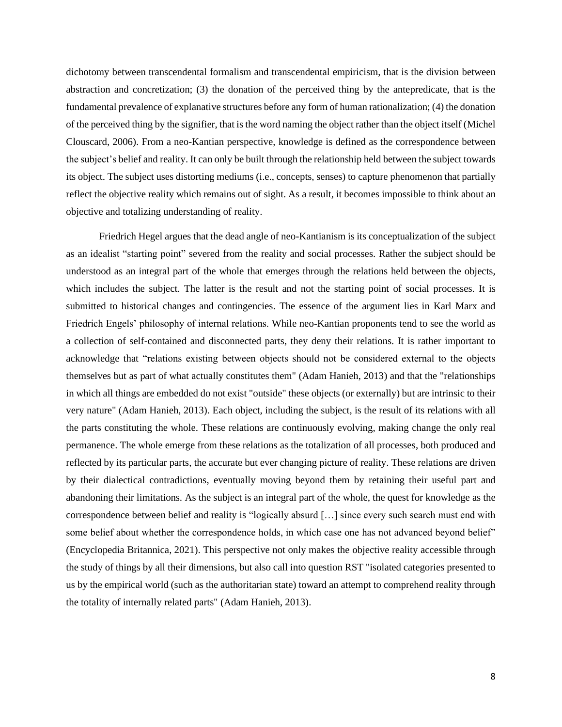dichotomy between transcendental formalism and transcendental empiricism, that is the division between abstraction and concretization; (3) the donation of the perceived thing by the antepredicate, that is the fundamental prevalence of explanative structures before any form of human rationalization; (4) the donation of the perceived thing by the signifier, that is the word naming the object rather than the object itself (Michel Clouscard, 2006). From a neo-Kantian perspective, knowledge is defined as the correspondence between the subject's belief and reality. It can only be built through the relationship held between the subject towards its object. The subject uses distorting mediums (i.e., concepts, senses) to capture phenomenon that partially reflect the objective reality which remains out of sight. As a result, it becomes impossible to think about an objective and totalizing understanding of reality.

Friedrich Hegel argues that the dead angle of neo-Kantianism is its conceptualization of the subject as an idealist "starting point" severed from the reality and social processes. Rather the subject should be understood as an integral part of the whole that emerges through the relations held between the objects, which includes the subject. The latter is the result and not the starting point of social processes. It is submitted to historical changes and contingencies. The essence of the argument lies in Karl Marx and Friedrich Engels' philosophy of internal relations. While neo-Kantian proponents tend to see the world as a collection of self-contained and disconnected parts, they deny their relations. It is rather important to acknowledge that "relations existing between objects should not be considered external to the objects themselves but as part of what actually constitutes them" (Adam Hanieh, 2013) and that the "relationships in which all things are embedded do not exist "outside" these objects (or externally) but are intrinsic to their very nature" (Adam Hanieh, 2013). Each object, including the subject, is the result of its relations with all the parts constituting the whole. These relations are continuously evolving, making change the only real permanence. The whole emerge from these relations as the totalization of all processes, both produced and reflected by its particular parts, the accurate but ever changing picture of reality. These relations are driven by their dialectical contradictions, eventually moving beyond them by retaining their useful part and abandoning their limitations. As the subject is an integral part of the whole, the quest for knowledge as the correspondence between belief and reality is "logically absurd […] since every such search must end with some belief about whether the correspondence holds, in which case one has not advanced beyond belief" (Encyclopedia Britannica, 2021). This perspective not only makes the objective reality accessible through the study of things by all their dimensions, but also call into question RST "isolated categories presented to us by the empirical world (such as the authoritarian state) toward an attempt to comprehend reality through the totality of internally related parts" (Adam Hanieh, 2013).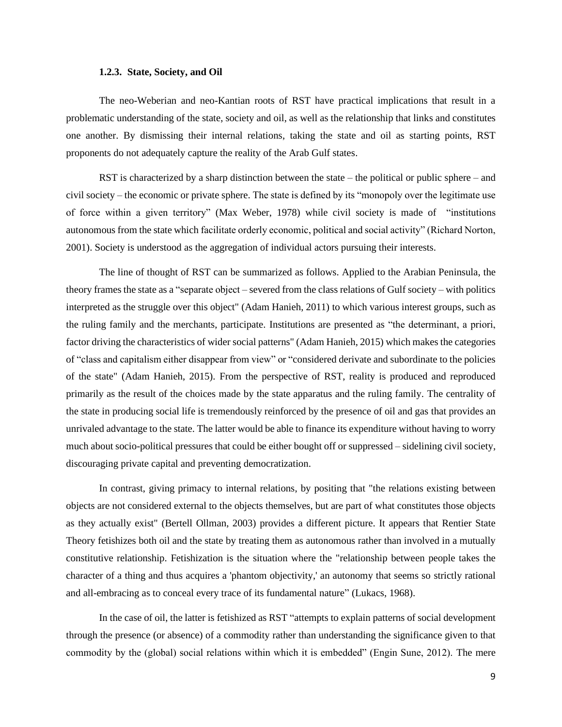#### <span id="page-9-0"></span>**1.2.3. State, Society, and Oil**

The neo-Weberian and neo-Kantian roots of RST have practical implications that result in a problematic understanding of the state, society and oil, as well as the relationship that links and constitutes one another. By dismissing their internal relations, taking the state and oil as starting points, RST proponents do not adequately capture the reality of the Arab Gulf states.

RST is characterized by a sharp distinction between the state – the political or public sphere – and civil society – the economic or private sphere. The state is defined by its "monopoly over the legitimate use of force within a given territory" (Max Weber, 1978) while civil society is made of "institutions autonomous from the state which facilitate orderly economic, political and social activity" (Richard Norton, 2001). Society is understood as the aggregation of individual actors pursuing their interests.

The line of thought of RST can be summarized as follows. Applied to the Arabian Peninsula, the theory frames the state as a "separate object – severed from the class relations of Gulf society – with politics interpreted as the struggle over this object" (Adam Hanieh, 2011) to which various interest groups, such as the ruling family and the merchants, participate. Institutions are presented as "the determinant, a priori, factor driving the characteristics of wider social patterns" (Adam Hanieh, 2015) which makes the categories of "class and capitalism either disappear from view" or "considered derivate and subordinate to the policies of the state" (Adam Hanieh, 2015). From the perspective of RST, reality is produced and reproduced primarily as the result of the choices made by the state apparatus and the ruling family. The centrality of the state in producing social life is tremendously reinforced by the presence of oil and gas that provides an unrivaled advantage to the state. The latter would be able to finance its expenditure without having to worry much about socio-political pressures that could be either bought off or suppressed – sidelining civil society, discouraging private capital and preventing democratization.

In contrast, giving primacy to internal relations, by positing that "the relations existing between objects are not considered external to the objects themselves, but are part of what constitutes those objects as they actually exist" (Bertell Ollman, 2003) provides a different picture. It appears that Rentier State Theory fetishizes both oil and the state by treating them as autonomous rather than involved in a mutually constitutive relationship. Fetishization is the situation where the "relationship between people takes the character of a thing and thus acquires a 'phantom objectivity,' an autonomy that seems so strictly rational and all-embracing as to conceal every trace of its fundamental nature" (Lukacs, 1968).

In the case of oil, the latter is fetishized as RST "attempts to explain patterns of social development through the presence (or absence) of a commodity rather than understanding the significance given to that commodity by the (global) social relations within which it is embedded" (Engin Sune, 2012). The mere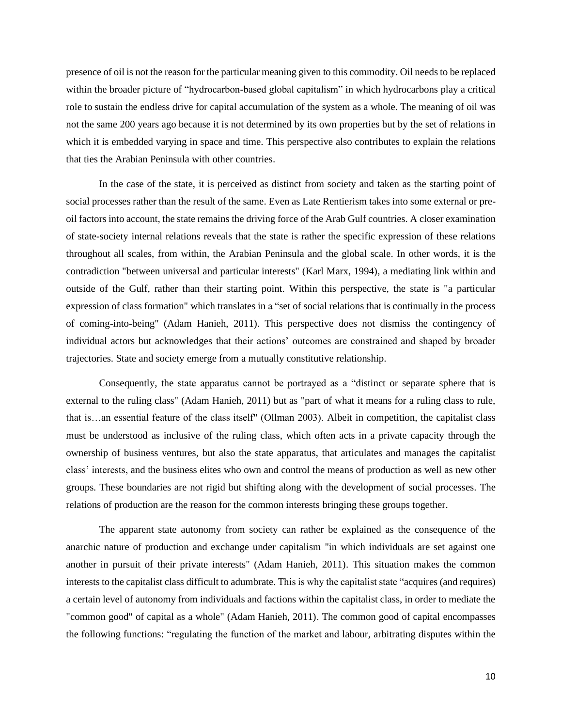presence of oil is not the reason for the particular meaning given to this commodity. Oil needs to be replaced within the broader picture of "hydrocarbon-based global capitalism" in which hydrocarbons play a critical role to sustain the endless drive for capital accumulation of the system as a whole. The meaning of oil was not the same 200 years ago because it is not determined by its own properties but by the set of relations in which it is embedded varying in space and time. This perspective also contributes to explain the relations that ties the Arabian Peninsula with other countries.

In the case of the state, it is perceived as distinct from society and taken as the starting point of social processes rather than the result of the same. Even as Late Rentierism takes into some external or preoil factors into account, the state remains the driving force of the Arab Gulf countries. A closer examination of state-society internal relations reveals that the state is rather the specific expression of these relations throughout all scales, from within, the Arabian Peninsula and the global scale. In other words, it is the contradiction "between universal and particular interests" (Karl Marx, 1994), a mediating link within and outside of the Gulf, rather than their starting point. Within this perspective, the state is "a particular expression of class formation" which translates in a "set of social relations that is continually in the process of coming-into-being" (Adam Hanieh, 2011). This perspective does not dismiss the contingency of individual actors but acknowledges that their actions' outcomes are constrained and shaped by broader trajectories. State and society emerge from a mutually constitutive relationship.

Consequently, the state apparatus cannot be portrayed as a "distinct or separate sphere that is external to the ruling class" (Adam Hanieh, 2011) but as "part of what it means for a ruling class to rule, that is…an essential feature of the class itself" (Ollman 2003). Albeit in competition, the capitalist class must be understood as inclusive of the ruling class, which often acts in a private capacity through the ownership of business ventures, but also the state apparatus, that articulates and manages the capitalist class' interests, and the business elites who own and control the means of production as well as new other groups. These boundaries are not rigid but shifting along with the development of social processes. The relations of production are the reason for the common interests bringing these groups together.

The apparent state autonomy from society can rather be explained as the consequence of the anarchic nature of production and exchange under capitalism "in which individuals are set against one another in pursuit of their private interests" (Adam Hanieh, 2011). This situation makes the common interests to the capitalist class difficult to adumbrate. This is why the capitalist state "acquires (and requires) a certain level of autonomy from individuals and factions within the capitalist class, in order to mediate the "common good" of capital as a whole" (Adam Hanieh, 2011). The common good of capital encompasses the following functions: "regulating the function of the market and labour, arbitrating disputes within the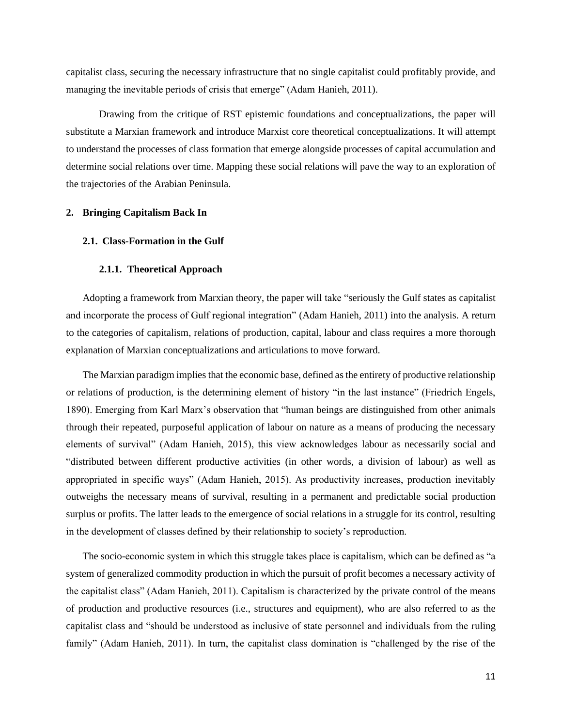capitalist class, securing the necessary infrastructure that no single capitalist could profitably provide, and managing the inevitable periods of crisis that emerge" (Adam Hanieh, 2011).

Drawing from the critique of RST epistemic foundations and conceptualizations, the paper will substitute a Marxian framework and introduce Marxist core theoretical conceptualizations. It will attempt to understand the processes of class formation that emerge alongside processes of capital accumulation and determine social relations over time. Mapping these social relations will pave the way to an exploration of the trajectories of the Arabian Peninsula.

### <span id="page-11-1"></span><span id="page-11-0"></span>**2. Bringing Capitalism Back In**

#### **2.1. Class-Formation in the Gulf**

### <span id="page-11-2"></span>**2.1.1. Theoretical Approach**

Adopting a framework from Marxian theory, the paper will take "seriously the Gulf states as capitalist and incorporate the process of Gulf regional integration" (Adam Hanieh, 2011) into the analysis. A return to the categories of capitalism, relations of production, capital, labour and class requires a more thorough explanation of Marxian conceptualizations and articulations to move forward.

The Marxian paradigm implies that the economic base, defined as the entirety of productive relationship or relations of production, is the determining element of history "in the last instance" (Friedrich Engels, 1890). Emerging from Karl Marx's observation that "human beings are distinguished from other animals through their repeated, purposeful application of labour on nature as a means of producing the necessary elements of survival" (Adam Hanieh, 2015), this view acknowledges labour as necessarily social and "distributed between different productive activities (in other words, a division of labour) as well as appropriated in specific ways" (Adam Hanieh, 2015). As productivity increases, production inevitably outweighs the necessary means of survival, resulting in a permanent and predictable social production surplus or profits. The latter leads to the emergence of social relations in a struggle for its control, resulting in the development of classes defined by their relationship to society's reproduction.

The socio-economic system in which this struggle takes place is capitalism, which can be defined as "a system of generalized commodity production in which the pursuit of profit becomes a necessary activity of the capitalist class" (Adam Hanieh, 2011). Capitalism is characterized by the private control of the means of production and productive resources (i.e., structures and equipment), who are also referred to as the capitalist class and "should be understood as inclusive of state personnel and individuals from the ruling family" (Adam Hanieh, 2011). In turn, the capitalist class domination is "challenged by the rise of the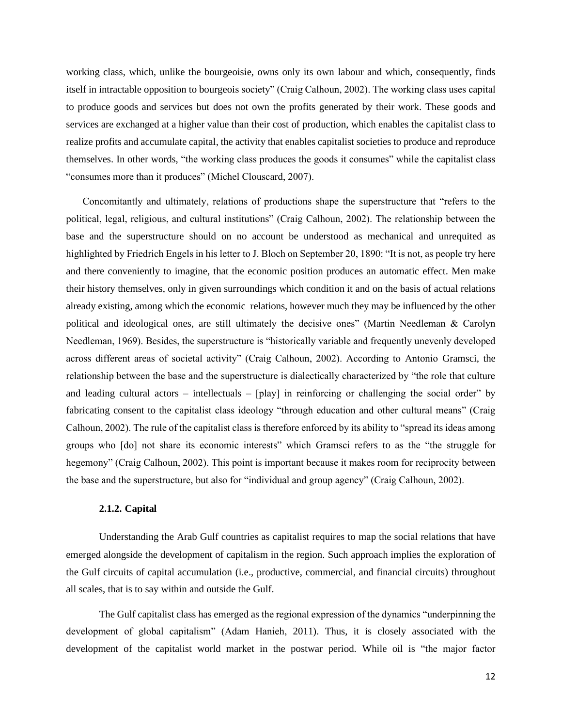working class, which, unlike the bourgeoisie, owns only its own labour and which, consequently, finds itself in intractable opposition to bourgeois society" (Craig Calhoun, 2002). The working class uses capital to produce goods and services but does not own the profits generated by their work. These goods and services are exchanged at a higher value than their cost of production, which enables the capitalist class to realize profits and accumulate capital, the activity that enables capitalist societies to produce and reproduce themselves. In other words, "the working class produces the goods it consumes" while the capitalist class "consumes more than it produces" (Michel Clouscard, 2007).

Concomitantly and ultimately, relations of productions shape the superstructure that "refers to the political, legal, religious, and cultural institutions" (Craig Calhoun, 2002). The relationship between the base and the superstructure should on no account be understood as mechanical and unrequited as highlighted by Friedrich Engels in his letter to J. Bloch on September 20, 1890: "It is not, as people try here and there conveniently to imagine, that the economic position produces an automatic effect. Men make their history themselves, only in given surroundings which condition it and on the basis of actual relations already existing, among which the economic relations, however much they may be influenced by the other political and ideological ones, are still ultimately the decisive ones" (Martin Needleman & Carolyn Needleman, 1969). Besides, the superstructure is "historically variable and frequently unevenly developed across different areas of societal activity" (Craig Calhoun, 2002). According to Antonio Gramsci, the relationship between the base and the superstructure is dialectically characterized by "the role that culture and leading cultural actors – intellectuals – [play] in reinforcing or challenging the social order" by fabricating consent to the capitalist class ideology "through education and other cultural means" (Craig Calhoun, 2002). The rule of the capitalist class is therefore enforced by its ability to "spread its ideas among groups who [do] not share its economic interests" which Gramsci refers to as the "the struggle for hegemony" (Craig Calhoun, 2002). This point is important because it makes room for reciprocity between the base and the superstructure, but also for "individual and group agency" (Craig Calhoun, 2002).

### <span id="page-12-0"></span>**2.1.2. Capital**

Understanding the Arab Gulf countries as capitalist requires to map the social relations that have emerged alongside the development of capitalism in the region. Such approach implies the exploration of the Gulf circuits of capital accumulation (i.e., productive, commercial, and financial circuits) throughout all scales, that is to say within and outside the Gulf.

The Gulf capitalist class has emerged as the regional expression of the dynamics "underpinning the development of global capitalism" (Adam Hanieh, 2011). Thus, it is closely associated with the development of the capitalist world market in the postwar period. While oil is "the major factor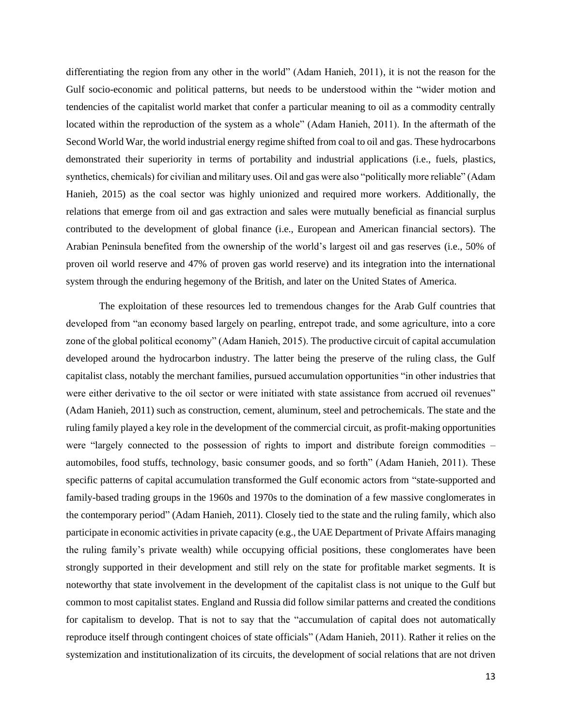differentiating the region from any other in the world" (Adam Hanieh, 2011), it is not the reason for the Gulf socio-economic and political patterns, but needs to be understood within the "wider motion and tendencies of the capitalist world market that confer a particular meaning to oil as a commodity centrally located within the reproduction of the system as a whole" (Adam Hanieh, 2011). In the aftermath of the Second World War, the world industrial energy regime shifted from coal to oil and gas. These hydrocarbons demonstrated their superiority in terms of portability and industrial applications (i.e., fuels, plastics, synthetics, chemicals) for civilian and military uses. Oil and gas were also "politically more reliable" (Adam Hanieh, 2015) as the coal sector was highly unionized and required more workers. Additionally, the relations that emerge from oil and gas extraction and sales were mutually beneficial as financial surplus contributed to the development of global finance (i.e., European and American financial sectors). The Arabian Peninsula benefited from the ownership of the world's largest oil and gas reserves (i.e., 50% of proven oil world reserve and 47% of proven gas world reserve) and its integration into the international system through the enduring hegemony of the British, and later on the United States of America.

The exploitation of these resources led to tremendous changes for the Arab Gulf countries that developed from "an economy based largely on pearling, entrepot trade, and some agriculture, into a core zone of the global political economy" (Adam Hanieh, 2015). The productive circuit of capital accumulation developed around the hydrocarbon industry. The latter being the preserve of the ruling class, the Gulf capitalist class, notably the merchant families, pursued accumulation opportunities "in other industries that were either derivative to the oil sector or were initiated with state assistance from accrued oil revenues" (Adam Hanieh, 2011) such as construction, cement, aluminum, steel and petrochemicals. The state and the ruling family played a key role in the development of the commercial circuit, as profit-making opportunities were "largely connected to the possession of rights to import and distribute foreign commodities – automobiles, food stuffs, technology, basic consumer goods, and so forth" (Adam Hanieh, 2011). These specific patterns of capital accumulation transformed the Gulf economic actors from "state-supported and family-based trading groups in the 1960s and 1970s to the domination of a few massive conglomerates in the contemporary period" (Adam Hanieh, 2011). Closely tied to the state and the ruling family, which also participate in economic activities in private capacity (e.g., the UAE Department of Private Affairs managing the ruling family's private wealth) while occupying official positions, these conglomerates have been strongly supported in their development and still rely on the state for profitable market segments. It is noteworthy that state involvement in the development of the capitalist class is not unique to the Gulf but common to most capitalist states. England and Russia did follow similar patterns and created the conditions for capitalism to develop. That is not to say that the "accumulation of capital does not automatically reproduce itself through contingent choices of state officials" (Adam Hanieh, 2011). Rather it relies on the systemization and institutionalization of its circuits, the development of social relations that are not driven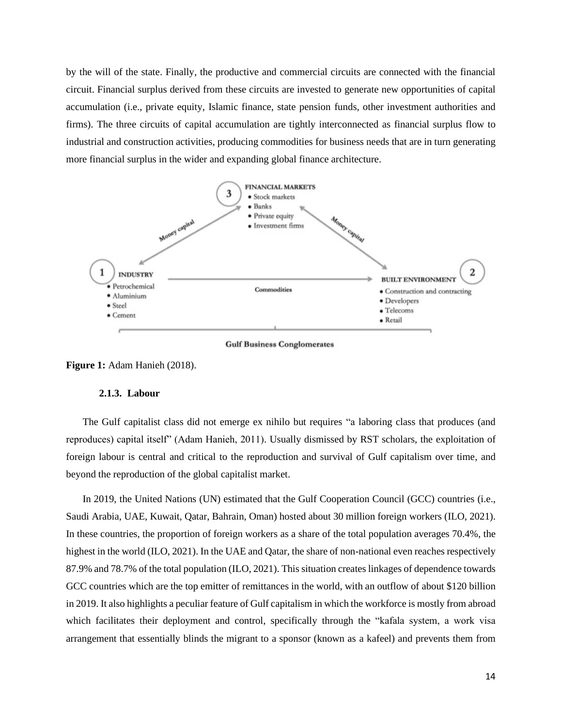by the will of the state. Finally, the productive and commercial circuits are connected with the financial circuit. Financial surplus derived from these circuits are invested to generate new opportunities of capital accumulation (i.e., private equity, Islamic finance, state pension funds, other investment authorities and firms). The three circuits of capital accumulation are tightly interconnected as financial surplus flow to industrial and construction activities, producing commodities for business needs that are in turn generating more financial surplus in the wider and expanding global finance architecture.



**Gulf Business Conglomerates** 



# <span id="page-14-0"></span>**2.1.3. Labour**

The Gulf capitalist class did not emerge ex nihilo but requires "a laboring class that produces (and reproduces) capital itself" (Adam Hanieh, 2011). Usually dismissed by RST scholars, the exploitation of foreign labour is central and critical to the reproduction and survival of Gulf capitalism over time, and beyond the reproduction of the global capitalist market.

In 2019, the United Nations (UN) estimated that the Gulf Cooperation Council (GCC) countries (i.e., Saudi Arabia, UAE, Kuwait, Qatar, Bahrain, Oman) hosted about 30 million foreign workers (ILO, 2021). In these countries, the proportion of foreign workers as a share of the total population averages 70.4%, the highest in the world (ILO, 2021). In the UAE and Qatar, the share of non-national even reaches respectively 87.9% and 78.7% of the total population (ILO, 2021). This situation creates linkages of dependence towards GCC countries which are the top emitter of remittances in the world, with an outflow of about \$120 billion in 2019. It also highlights a peculiar feature of Gulf capitalism in which the workforce is mostly from abroad which facilitates their deployment and control, specifically through the "kafala system, a work visa arrangement that essentially blinds the migrant to a sponsor (known as a kafeel) and prevents them from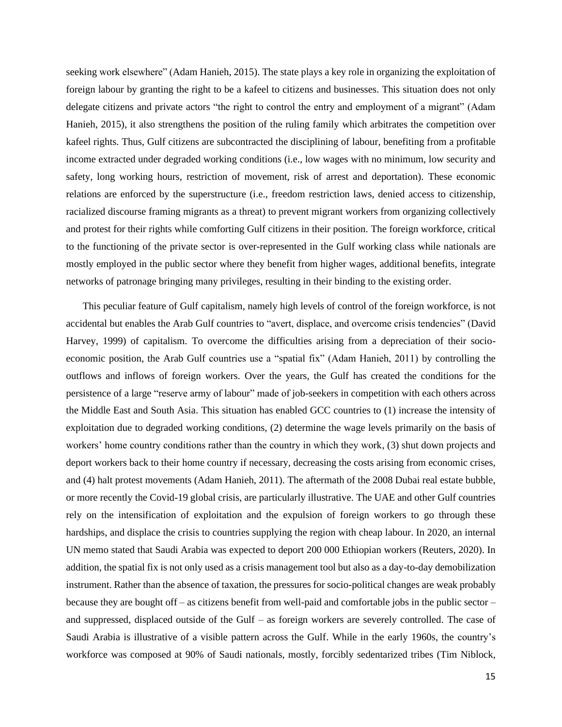seeking work elsewhere" (Adam Hanieh, 2015). The state plays a key role in organizing the exploitation of foreign labour by granting the right to be a kafeel to citizens and businesses. This situation does not only delegate citizens and private actors "the right to control the entry and employment of a migrant" (Adam Hanieh, 2015), it also strengthens the position of the ruling family which arbitrates the competition over kafeel rights. Thus, Gulf citizens are subcontracted the disciplining of labour, benefiting from a profitable income extracted under degraded working conditions (i.e., low wages with no minimum, low security and safety, long working hours, restriction of movement, risk of arrest and deportation). These economic relations are enforced by the superstructure (i.e., freedom restriction laws, denied access to citizenship, racialized discourse framing migrants as a threat) to prevent migrant workers from organizing collectively and protest for their rights while comforting Gulf citizens in their position. The foreign workforce, critical to the functioning of the private sector is over-represented in the Gulf working class while nationals are mostly employed in the public sector where they benefit from higher wages, additional benefits, integrate networks of patronage bringing many privileges, resulting in their binding to the existing order.

This peculiar feature of Gulf capitalism, namely high levels of control of the foreign workforce, is not accidental but enables the Arab Gulf countries to "avert, displace, and overcome crisis tendencies" (David Harvey, 1999) of capitalism. To overcome the difficulties arising from a depreciation of their socioeconomic position, the Arab Gulf countries use a "spatial fix" (Adam Hanieh, 2011) by controlling the outflows and inflows of foreign workers. Over the years, the Gulf has created the conditions for the persistence of a large "reserve army of labour" made of job-seekers in competition with each others across the Middle East and South Asia. This situation has enabled GCC countries to (1) increase the intensity of exploitation due to degraded working conditions, (2) determine the wage levels primarily on the basis of workers' home country conditions rather than the country in which they work, (3) shut down projects and deport workers back to their home country if necessary, decreasing the costs arising from economic crises, and (4) halt protest movements (Adam Hanieh, 2011). The aftermath of the 2008 Dubai real estate bubble, or more recently the Covid-19 global crisis, are particularly illustrative. The UAE and other Gulf countries rely on the intensification of exploitation and the expulsion of foreign workers to go through these hardships, and displace the crisis to countries supplying the region with cheap labour. In 2020, an internal UN memo stated that Saudi Arabia was expected to deport 200 000 Ethiopian workers (Reuters, 2020). In addition, the spatial fix is not only used as a crisis management tool but also as a day-to-day demobilization instrument. Rather than the absence of taxation, the pressures for socio-political changes are weak probably because they are bought off – as citizens benefit from well-paid and comfortable jobs in the public sector – and suppressed, displaced outside of the Gulf – as foreign workers are severely controlled. The case of Saudi Arabia is illustrative of a visible pattern across the Gulf. While in the early 1960s, the country's workforce was composed at 90% of Saudi nationals, mostly, forcibly sedentarized tribes (Tim Niblock,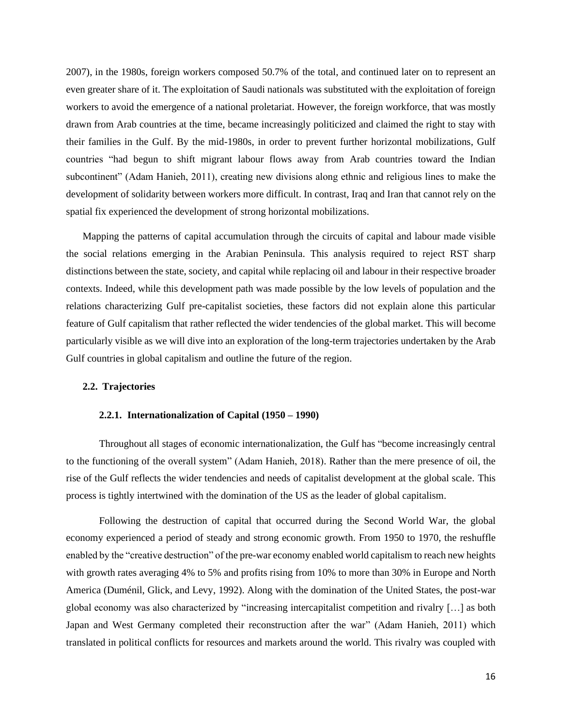2007), in the 1980s, foreign workers composed 50.7% of the total, and continued later on to represent an even greater share of it. The exploitation of Saudi nationals was substituted with the exploitation of foreign workers to avoid the emergence of a national proletariat. However, the foreign workforce, that was mostly drawn from Arab countries at the time, became increasingly politicized and claimed the right to stay with their families in the Gulf. By the mid-1980s, in order to prevent further horizontal mobilizations, Gulf countries "had begun to shift migrant labour flows away from Arab countries toward the Indian subcontinent" (Adam Hanieh, 2011), creating new divisions along ethnic and religious lines to make the development of solidarity between workers more difficult. In contrast, Iraq and Iran that cannot rely on the spatial fix experienced the development of strong horizontal mobilizations.

Mapping the patterns of capital accumulation through the circuits of capital and labour made visible the social relations emerging in the Arabian Peninsula. This analysis required to reject RST sharp distinctions between the state, society, and capital while replacing oil and labour in their respective broader contexts. Indeed, while this development path was made possible by the low levels of population and the relations characterizing Gulf pre-capitalist societies, these factors did not explain alone this particular feature of Gulf capitalism that rather reflected the wider tendencies of the global market. This will become particularly visible as we will dive into an exploration of the long-term trajectories undertaken by the Arab Gulf countries in global capitalism and outline the future of the region.

#### <span id="page-16-0"></span>**2.2. Trajectories**

# <span id="page-16-1"></span>**2.2.1. Internationalization of Capital (1950 – 1990)**

Throughout all stages of economic internationalization, the Gulf has "become increasingly central to the functioning of the overall system" (Adam Hanieh, 2018). Rather than the mere presence of oil, the rise of the Gulf reflects the wider tendencies and needs of capitalist development at the global scale. This process is tightly intertwined with the domination of the US as the leader of global capitalism.

Following the destruction of capital that occurred during the Second World War, the global economy experienced a period of steady and strong economic growth. From 1950 to 1970, the reshuffle enabled by the "creative destruction" of the pre-war economy enabled world capitalism to reach new heights with growth rates averaging 4% to 5% and profits rising from 10% to more than 30% in Europe and North America (Duménil, Glick, and Levy, 1992). Along with the domination of the United States, the post-war global economy was also characterized by "increasing intercapitalist competition and rivalry […] as both Japan and West Germany completed their reconstruction after the war" (Adam Hanieh, 2011) which translated in political conflicts for resources and markets around the world. This rivalry was coupled with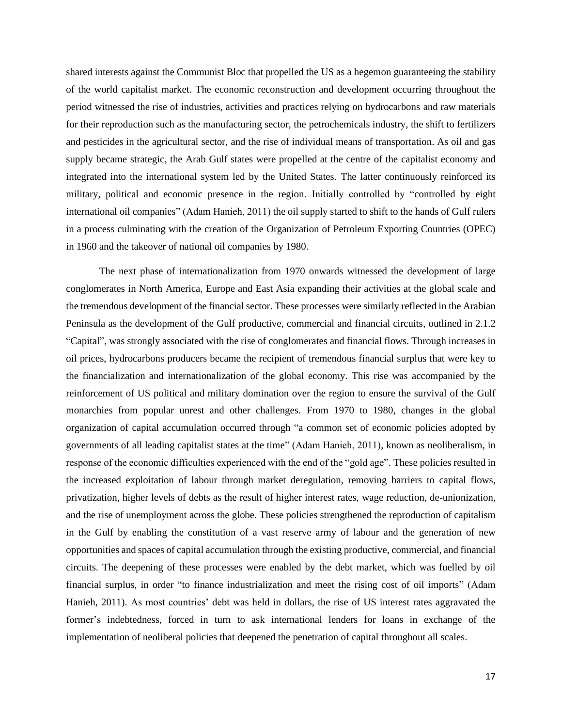shared interests against the Communist Bloc that propelled the US as a hegemon guaranteeing the stability of the world capitalist market. The economic reconstruction and development occurring throughout the period witnessed the rise of industries, activities and practices relying on hydrocarbons and raw materials for their reproduction such as the manufacturing sector, the petrochemicals industry, the shift to fertilizers and pesticides in the agricultural sector, and the rise of individual means of transportation. As oil and gas supply became strategic, the Arab Gulf states were propelled at the centre of the capitalist economy and integrated into the international system led by the United States. The latter continuously reinforced its military, political and economic presence in the region. Initially controlled by "controlled by eight international oil companies" (Adam Hanieh, 2011) the oil supply started to shift to the hands of Gulf rulers in a process culminating with the creation of the Organization of Petroleum Exporting Countries (OPEC) in 1960 and the takeover of national oil companies by 1980.

The next phase of internationalization from 1970 onwards witnessed the development of large conglomerates in North America, Europe and East Asia expanding their activities at the global scale and the tremendous development of the financial sector. These processes were similarly reflected in the Arabian Peninsula as the development of the Gulf productive, commercial and financial circuits, outlined in 2.1.2 "Capital", was strongly associated with the rise of conglomerates and financial flows. Through increases in oil prices, hydrocarbons producers became the recipient of tremendous financial surplus that were key to the financialization and internationalization of the global economy. This rise was accompanied by the reinforcement of US political and military domination over the region to ensure the survival of the Gulf monarchies from popular unrest and other challenges. From 1970 to 1980, changes in the global organization of capital accumulation occurred through "a common set of economic policies adopted by governments of all leading capitalist states at the time" (Adam Hanieh, 2011), known as neoliberalism, in response of the economic difficulties experienced with the end of the "gold age". These policies resulted in the increased exploitation of labour through market deregulation, removing barriers to capital flows, privatization, higher levels of debts as the result of higher interest rates, wage reduction, de-unionization, and the rise of unemployment across the globe. These policies strengthened the reproduction of capitalism in the Gulf by enabling the constitution of a vast reserve army of labour and the generation of new opportunities and spaces of capital accumulation through the existing productive, commercial, and financial circuits. The deepening of these processes were enabled by the debt market, which was fuelled by oil financial surplus, in order "to finance industrialization and meet the rising cost of oil imports" (Adam Hanieh, 2011). As most countries' debt was held in dollars, the rise of US interest rates aggravated the former's indebtedness, forced in turn to ask international lenders for loans in exchange of the implementation of neoliberal policies that deepened the penetration of capital throughout all scales.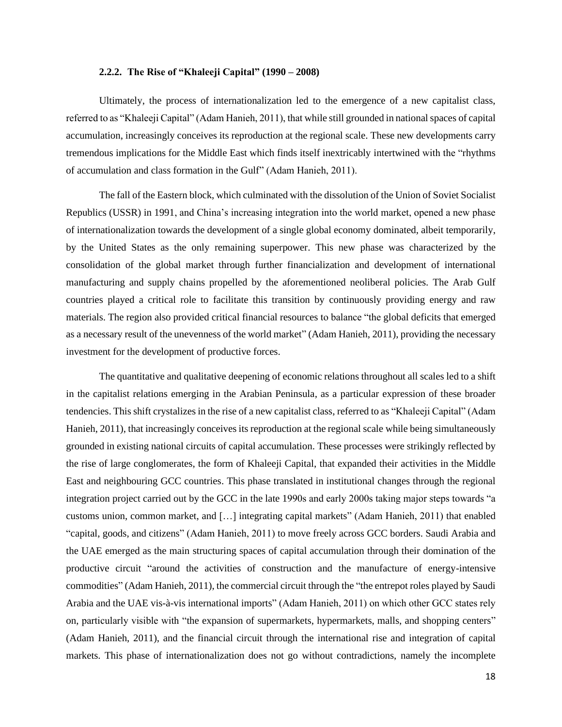#### <span id="page-18-0"></span>**2.2.2. The Rise of "Khaleeji Capital" (1990 – 2008)**

Ultimately, the process of internationalization led to the emergence of a new capitalist class, referred to as "Khaleeji Capital" (Adam Hanieh, 2011), that while still grounded in national spaces of capital accumulation, increasingly conceives its reproduction at the regional scale. These new developments carry tremendous implications for the Middle East which finds itself inextricably intertwined with the "rhythms of accumulation and class formation in the Gulf" (Adam Hanieh, 2011).

The fall of the Eastern block, which culminated with the dissolution of the Union of Soviet Socialist Republics (USSR) in 1991, and China's increasing integration into the world market, opened a new phase of internationalization towards the development of a single global economy dominated, albeit temporarily, by the United States as the only remaining superpower. This new phase was characterized by the consolidation of the global market through further financialization and development of international manufacturing and supply chains propelled by the aforementioned neoliberal policies. The Arab Gulf countries played a critical role to facilitate this transition by continuously providing energy and raw materials. The region also provided critical financial resources to balance "the global deficits that emerged as a necessary result of the unevenness of the world market" (Adam Hanieh, 2011), providing the necessary investment for the development of productive forces.

The quantitative and qualitative deepening of economic relations throughout all scales led to a shift in the capitalist relations emerging in the Arabian Peninsula, as a particular expression of these broader tendencies. This shift crystalizes in the rise of a new capitalist class, referred to as "Khaleeji Capital" (Adam Hanieh, 2011), that increasingly conceives its reproduction at the regional scale while being simultaneously grounded in existing national circuits of capital accumulation. These processes were strikingly reflected by the rise of large conglomerates, the form of Khaleeji Capital, that expanded their activities in the Middle East and neighbouring GCC countries. This phase translated in institutional changes through the regional integration project carried out by the GCC in the late 1990s and early 2000s taking major steps towards "a customs union, common market, and […] integrating capital markets" (Adam Hanieh, 2011) that enabled "capital, goods, and citizens" (Adam Hanieh, 2011) to move freely across GCC borders. Saudi Arabia and the UAE emerged as the main structuring spaces of capital accumulation through their domination of the productive circuit "around the activities of construction and the manufacture of energy-intensive commodities" (Adam Hanieh, 2011), the commercial circuit through the "the entrepot roles played by Saudi Arabia and the UAE vis-à-vis international imports" (Adam Hanieh, 2011) on which other GCC states rely on, particularly visible with "the expansion of supermarkets, hypermarkets, malls, and shopping centers" (Adam Hanieh, 2011), and the financial circuit through the international rise and integration of capital markets. This phase of internationalization does not go without contradictions, namely the incomplete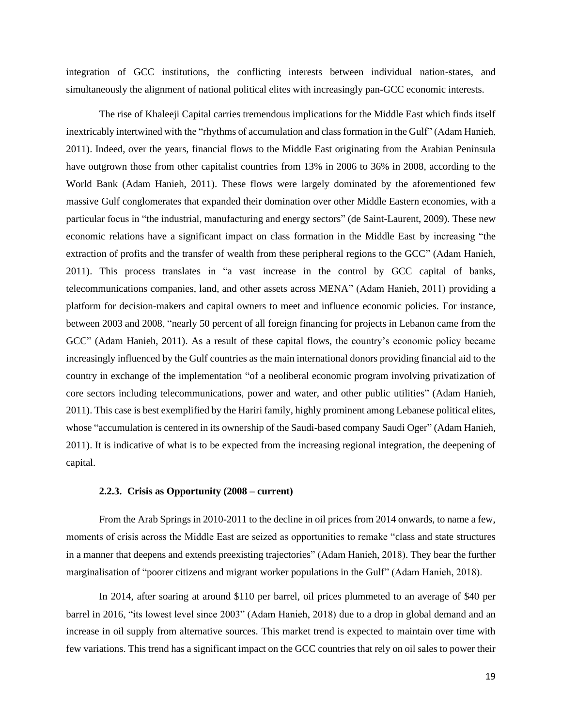integration of GCC institutions, the conflicting interests between individual nation-states, and simultaneously the alignment of national political elites with increasingly pan-GCC economic interests.

The rise of Khaleeji Capital carries tremendous implications for the Middle East which finds itself inextricably intertwined with the "rhythms of accumulation and class formation in the Gulf" (Adam Hanieh, 2011). Indeed, over the years, financial flows to the Middle East originating from the Arabian Peninsula have outgrown those from other capitalist countries from 13% in 2006 to 36% in 2008, according to the World Bank (Adam Hanieh, 2011). These flows were largely dominated by the aforementioned few massive Gulf conglomerates that expanded their domination over other Middle Eastern economies, with a particular focus in "the industrial, manufacturing and energy sectors" (de Saint-Laurent, 2009). These new economic relations have a significant impact on class formation in the Middle East by increasing "the extraction of profits and the transfer of wealth from these peripheral regions to the GCC" (Adam Hanieh, 2011). This process translates in "a vast increase in the control by GCC capital of banks, telecommunications companies, land, and other assets across MENA" (Adam Hanieh, 2011) providing a platform for decision-makers and capital owners to meet and influence economic policies. For instance, between 2003 and 2008, "nearly 50 percent of all foreign financing for projects in Lebanon came from the GCC" (Adam Hanieh, 2011). As a result of these capital flows, the country's economic policy became increasingly influenced by the Gulf countries as the main international donors providing financial aid to the country in exchange of the implementation "of a neoliberal economic program involving privatization of core sectors including telecommunications, power and water, and other public utilities" (Adam Hanieh, 2011). This case is best exemplified by the Hariri family, highly prominent among Lebanese political elites, whose "accumulation is centered in its ownership of the Saudi-based company Saudi Oger" (Adam Hanieh, 2011). It is indicative of what is to be expected from the increasing regional integration, the deepening of capital.

#### <span id="page-19-0"></span>**2.2.3. Crisis as Opportunity (2008 – current)**

From the Arab Springs in 2010-2011 to the decline in oil prices from 2014 onwards, to name a few, moments of crisis across the Middle East are seized as opportunities to remake "class and state structures in a manner that deepens and extends preexisting trajectories" (Adam Hanieh, 2018). They bear the further marginalisation of "poorer citizens and migrant worker populations in the Gulf" (Adam Hanieh, 2018).

In 2014, after soaring at around \$110 per barrel, oil prices plummeted to an average of \$40 per barrel in 2016, "its lowest level since 2003" (Adam Hanieh, 2018) due to a drop in global demand and an increase in oil supply from alternative sources. This market trend is expected to maintain over time with few variations. This trend has a significant impact on the GCC countries that rely on oil sales to power their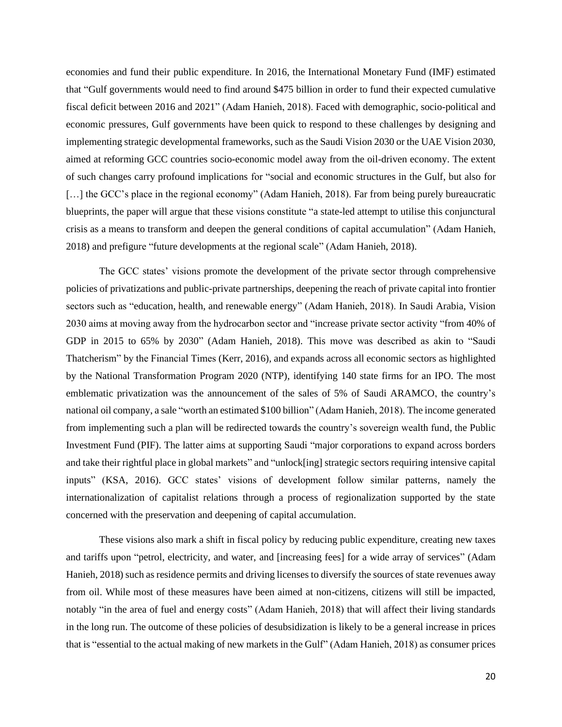economies and fund their public expenditure. In 2016, the International Monetary Fund (IMF) estimated that "Gulf governments would need to find around \$475 billion in order to fund their expected cumulative fiscal deficit between 2016 and 2021" (Adam Hanieh, 2018). Faced with demographic, socio-political and economic pressures, Gulf governments have been quick to respond to these challenges by designing and implementing strategic developmental frameworks, such as the Saudi Vision 2030 or the UAE Vision 2030, aimed at reforming GCC countries socio-economic model away from the oil-driven economy. The extent of such changes carry profound implications for "social and economic structures in the Gulf, but also for [...] the GCC's place in the regional economy" (Adam Hanieh, 2018). Far from being purely bureaucratic blueprints, the paper will argue that these visions constitute "a state-led attempt to utilise this conjunctural crisis as a means to transform and deepen the general conditions of capital accumulation" (Adam Hanieh, 2018) and prefigure "future developments at the regional scale" (Adam Hanieh, 2018).

The GCC states' visions promote the development of the private sector through comprehensive policies of privatizations and public-private partnerships, deepening the reach of private capital into frontier sectors such as "education, health, and renewable energy" (Adam Hanieh, 2018). In Saudi Arabia, Vision 2030 aims at moving away from the hydrocarbon sector and "increase private sector activity "from 40% of GDP in 2015 to 65% by 2030" (Adam Hanieh, 2018). This move was described as akin to "Saudi Thatcherism" by the Financial Times (Kerr, 2016), and expands across all economic sectors as highlighted by the National Transformation Program 2020 (NTP), identifying 140 state firms for an IPO. The most emblematic privatization was the announcement of the sales of 5% of Saudi ARAMCO, the country's national oil company, a sale "worth an estimated \$100 billion" (Adam Hanieh, 2018). The income generated from implementing such a plan will be redirected towards the country's sovereign wealth fund, the Public Investment Fund (PIF). The latter aims at supporting Saudi "major corporations to expand across borders and take their rightful place in global markets" and "unlock[ing] strategic sectors requiring intensive capital inputs" (KSA, 2016). GCC states' visions of development follow similar patterns, namely the internationalization of capitalist relations through a process of regionalization supported by the state concerned with the preservation and deepening of capital accumulation.

These visions also mark a shift in fiscal policy by reducing public expenditure, creating new taxes and tariffs upon "petrol, electricity, and water, and [increasing fees] for a wide array of services" (Adam Hanieh, 2018) such as residence permits and driving licenses to diversify the sources of state revenues away from oil. While most of these measures have been aimed at non-citizens, citizens will still be impacted, notably "in the area of fuel and energy costs" (Adam Hanieh, 2018) that will affect their living standards in the long run. The outcome of these policies of desubsidization is likely to be a general increase in prices that is "essential to the actual making of new markets in the Gulf" (Adam Hanieh, 2018) as consumer prices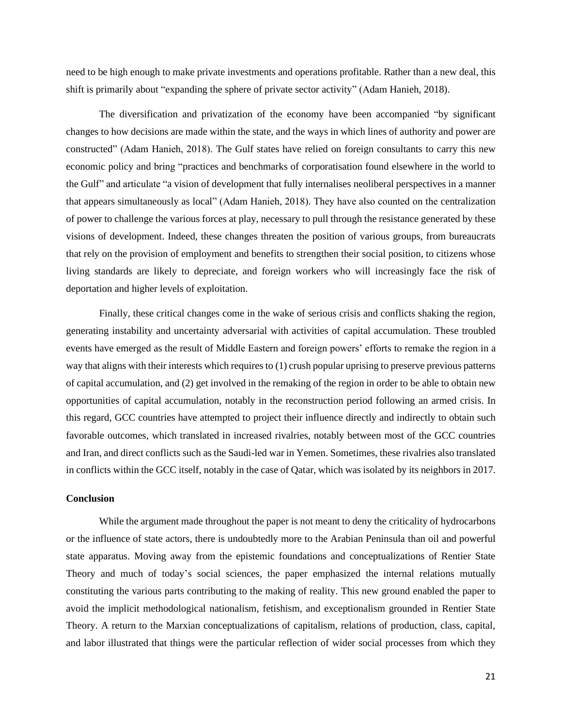need to be high enough to make private investments and operations profitable. Rather than a new deal, this shift is primarily about "expanding the sphere of private sector activity" (Adam Hanieh, 2018).

The diversification and privatization of the economy have been accompanied "by significant changes to how decisions are made within the state, and the ways in which lines of authority and power are constructed" (Adam Hanieh, 2018). The Gulf states have relied on foreign consultants to carry this new economic policy and bring "practices and benchmarks of corporatisation found elsewhere in the world to the Gulf" and articulate "a vision of development that fully internalises neoliberal perspectives in a manner that appears simultaneously as local" (Adam Hanieh, 2018). They have also counted on the centralization of power to challenge the various forces at play, necessary to pull through the resistance generated by these visions of development. Indeed, these changes threaten the position of various groups, from bureaucrats that rely on the provision of employment and benefits to strengthen their social position, to citizens whose living standards are likely to depreciate, and foreign workers who will increasingly face the risk of deportation and higher levels of exploitation.

Finally, these critical changes come in the wake of serious crisis and conflicts shaking the region, generating instability and uncertainty adversarial with activities of capital accumulation. These troubled events have emerged as the result of Middle Eastern and foreign powers' efforts to remake the region in a way that aligns with their interests which requires to (1) crush popular uprising to preserve previous patterns of capital accumulation, and (2) get involved in the remaking of the region in order to be able to obtain new opportunities of capital accumulation, notably in the reconstruction period following an armed crisis. In this regard, GCC countries have attempted to project their influence directly and indirectly to obtain such favorable outcomes, which translated in increased rivalries, notably between most of the GCC countries and Iran, and direct conflicts such as the Saudi-led war in Yemen. Sometimes, these rivalries also translated in conflicts within the GCC itself, notably in the case of Qatar, which was isolated by its neighbors in 2017.

#### <span id="page-21-0"></span>**Conclusion**

While the argument made throughout the paper is not meant to deny the criticality of hydrocarbons or the influence of state actors, there is undoubtedly more to the Arabian Peninsula than oil and powerful state apparatus. Moving away from the epistemic foundations and conceptualizations of Rentier State Theory and much of today's social sciences, the paper emphasized the internal relations mutually constituting the various parts contributing to the making of reality. This new ground enabled the paper to avoid the implicit methodological nationalism, fetishism, and exceptionalism grounded in Rentier State Theory. A return to the Marxian conceptualizations of capitalism, relations of production, class, capital, and labor illustrated that things were the particular reflection of wider social processes from which they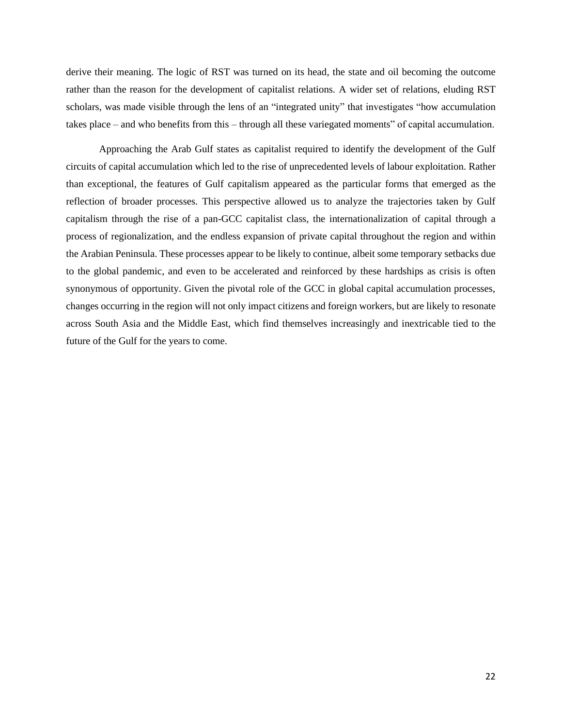derive their meaning. The logic of RST was turned on its head, the state and oil becoming the outcome rather than the reason for the development of capitalist relations. A wider set of relations, eluding RST scholars, was made visible through the lens of an "integrated unity" that investigates "how accumulation takes place – and who benefits from this – through all these variegated moments" of capital accumulation.

Approaching the Arab Gulf states as capitalist required to identify the development of the Gulf circuits of capital accumulation which led to the rise of unprecedented levels of labour exploitation. Rather than exceptional, the features of Gulf capitalism appeared as the particular forms that emerged as the reflection of broader processes. This perspective allowed us to analyze the trajectories taken by Gulf capitalism through the rise of a pan-GCC capitalist class, the internationalization of capital through a process of regionalization, and the endless expansion of private capital throughout the region and within the Arabian Peninsula. These processes appear to be likely to continue, albeit some temporary setbacks due to the global pandemic, and even to be accelerated and reinforced by these hardships as crisis is often synonymous of opportunity. Given the pivotal role of the GCC in global capital accumulation processes, changes occurring in the region will not only impact citizens and foreign workers, but are likely to resonate across South Asia and the Middle East, which find themselves increasingly and inextricable tied to the future of the Gulf for the years to come.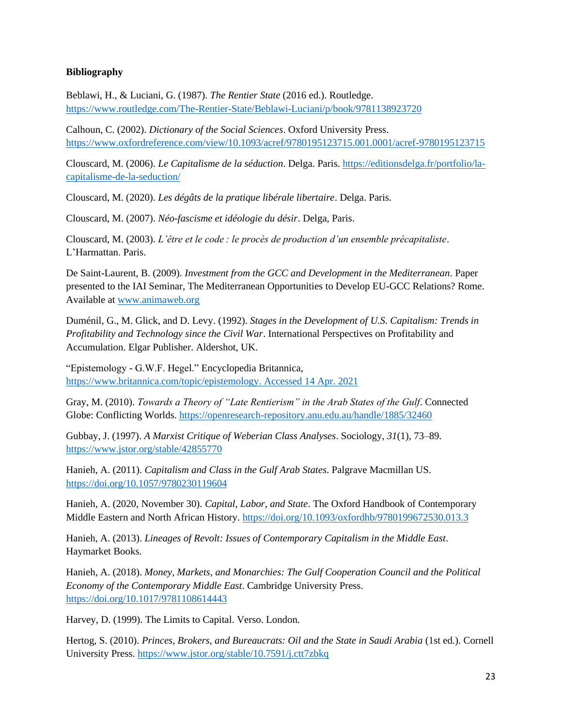# <span id="page-23-0"></span>**Bibliography**

Beblawi, H., & Luciani, G. (1987). *The Rentier State* (2016 ed.). Routledge. <https://www.routledge.com/The-Rentier-State/Beblawi-Luciani/p/book/9781138923720>

Calhoun, C. (2002). *Dictionary of the Social Sciences*. Oxford University Press. <https://www.oxfordreference.com/view/10.1093/acref/9780195123715.001.0001/acref-9780195123715>

Clouscard, M. (2006). *Le Capitalisme de la séduction*. Delga. Paris. [https://editionsdelga.fr/portfolio/la](https://editionsdelga.fr/portfolio/la-capitalisme-de-la-seduction/)[capitalisme-de-la-seduction/](https://editionsdelga.fr/portfolio/la-capitalisme-de-la-seduction/)

Clouscard, M. (2020). *Les dégâts de la pratique libérale libertaire*. Delga. Paris.

Clouscard, M. (2007). *Néo-fascisme et idéologie du désir*. Delga, Paris.

Clouscard, M. (2003). *L'être et le code : le procès de production d'un ensemble précapitaliste*. L'Harmattan. Paris.

De Saint-Laurent, B. (2009). *Investment from the GCC and Development in the Mediterranean*. Paper presented to the IAI Seminar, The Mediterranean Opportunities to Develop EU-GCC Relations? Rome. Available at [www.animaweb.org](http://www.animaweb.org/)

Duménil, G., M. Glick, and D. Levy. (1992). *Stages in the Development of U.S. Capitalism: Trends in Profitability and Technology since the Civil War*. International Perspectives on Profitability and Accumulation. Elgar Publisher. Aldershot, UK.

"Epistemology - G.W.F. Hegel." Encyclopedia Britannica, [https://www.britannica.com/topic/epistemology. Accessed 14 Apr. 2021](https://www.britannica.com/topic/epistemology.%20Accessed%2014%20Apr.%202021)

Gray, M. (2010). *Towards a Theory of "Late Rentierism" in the Arab States of the Gulf*. Connected Globe: Conflicting Worlds.<https://openresearch-repository.anu.edu.au/handle/1885/32460>

Gubbay, J. (1997). *A Marxist Critique of Weberian Class Analyses*. Sociology, *31*(1), 73–89. <https://www.jstor.org/stable/42855770>

Hanieh, A. (2011). *Capitalism and Class in the Gulf Arab States*. Palgrave Macmillan US. <https://doi.org/10.1057/9780230119604>

Hanieh, A. (2020, November 30). *Capital, Labor, and State*. The Oxford Handbook of Contemporary Middle Eastern and North African History.<https://doi.org/10.1093/oxfordhb/9780199672530.013.3>

Hanieh, A. (2013). *Lineages of Revolt: Issues of Contemporary Capitalism in the Middle East*. Haymarket Books.

Hanieh, A. (2018). *Money, Markets, and Monarchies: The Gulf Cooperation Council and the Political Economy of the Contemporary Middle East*. Cambridge University Press. <https://doi.org/10.1017/9781108614443>

Harvey, D. (1999). The Limits to Capital. Verso. London.

Hertog, S. (2010). *Princes, Brokers, and Bureaucrats: Oil and the State in Saudi Arabia* (1st ed.). Cornell University Press.<https://www.jstor.org/stable/10.7591/j.ctt7zbkq>